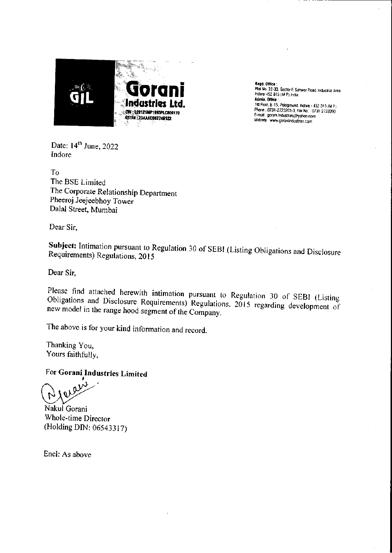

Read. OHlce : Plot No. 32·33, SOC10(·F.Sanwer Road. Industrial Area. Indore-452 015 (M P) India Admin, Olftce : 1st Floor. 8-15, Poioground, Indore - 452 015 (M P) Phone. 0731-2723201·3, Fa~No. 07:11.2723200 E-mail : gorani.industries@yahoo.com Website www.goraniindustries.com

Date:  $14^{\text{th}}$  June, 2022 Indore

To The BSE Limited The Corporate Relationship Department Pheeroj Jeejeebhoy Tower Dalal Street, Mumbai

Dear Sir,

**Subject:** Intimation pursuant to Regulation 30 of SEBI (Listing Obligations and Disclosure Requirements) Regulations, 2015

Dear Sir,

Please find attached herewith intimation pursuant to Regulation 30 of SEBI (Listing Obligations and Disclosure Requirements) Regulations, 2015 regarding development of new model in the range hood segment of the Company.

The above is for your kind information and record.

Thanking You, Yours faithfully,

For **Gorani Industries Limited**

ໍ່<br>. າ  $\overline{\Omega}$ 

Nakul Gorani Whole-time Director (Holding DIN: 06543317)

Encl: As above